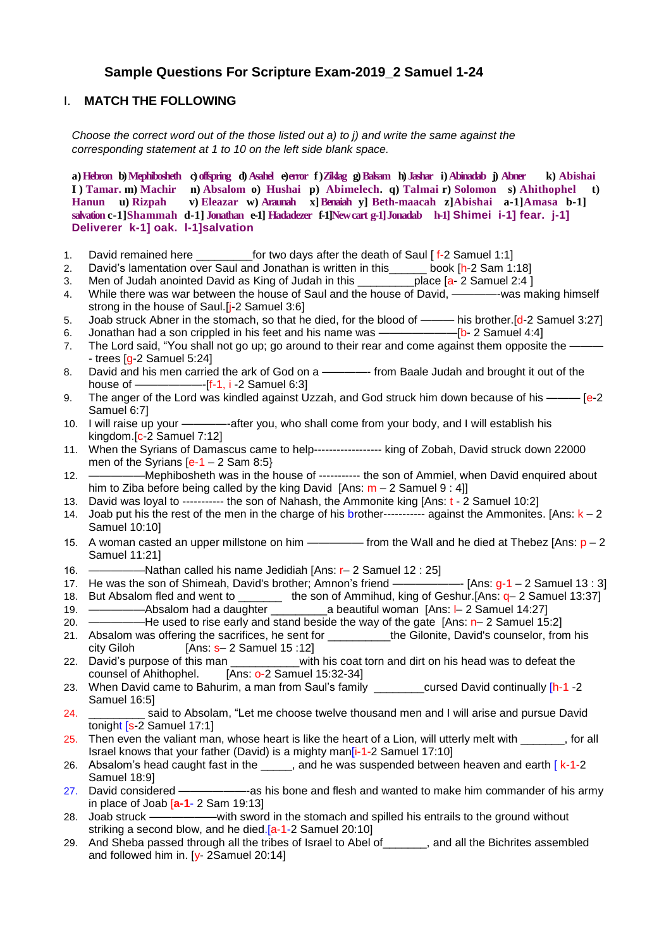# **Sample Questions For Scripture Exam-2019\_2 Samuel 1-24**

#### I. **MATCH THE FOLLOWING**

*Choose the correct word out of the those listed out a) to j) and write the same against the corresponding statement at 1 to 10 on the left side blank space.*

**a)Hebron b)Mephibosheth c)offspring d)Asahel e)error f )Ziklag g)Balsam h) Jashar i)Abinadab j) Abner k) Abishai I ) Tamar. m) Machir n) Absalom o) Hushai p) Abimelech. q) Talmai r) Solomon s) Ahithophel t) Hanun u) Rizpah v) Eleazar w) Araunah x]Benaiah y] Beth-maacah z]Abishai a-1]Amasa b-1] salvation c-1]Shammah d-1] Jonathan e-1] Hadadezer f-1]Newcart g-1]Jonadab h-1] Shimei i-1] fear. j-1] Deliverer k-1] oak. l-1]salvation**

- 1. David remained here for two days after the death of Saul [ f-2 Samuel 1:1]
- 2. David's lamentation over Saul and Jonathan is written in this\_\_\_\_\_\_ book [h-2 Sam 1:18]

3. Men of Judah anointed David as King of Judah in this \_\_\_\_\_\_\_\_\_\_place [a- 2 Samuel 2:4 ]

- 4. While there was war between the house of Saul and the house of David, ————-was making himself strong in the house of Saul.[j-2 Samuel 3:6]
- 5. Joab struck Abner in the stomach, so that he died, for the blood of ——— his brother.[d-2 Samuel 3:27]
- 6. Jonathan had a son crippled in his feet and his name was ——————— [b- 2 Samuel 4:4]
- 7. The Lord said, "You shall not go up; go around to their rear and come against them opposite the - trees  $[q-2]$  Samuel 5:24]
- 8. David and his men carried the ark of God on a ————- from Baale Judah and brought it out of the house of ——————-[f-1, i -2 Samuel 6:3]
- 9. The anger of the Lord was kindled against Uzzah, and God struck him down because of his ——— [e-2] Samuel 6:7]
- 10. I will raise up your ————-after you, who shall come from your body, and I will establish his kingdom.[c-2 Samuel 7:12]
- 11. When the Syrians of Damascus came to help------------------ king of Zobah, David struck down 22000 men of the Syrians  $[e-1 - 2 \text{ Sam } 8:5]$
- 12. —————Mephibosheth was in the house of ----------- the son of Ammiel, when David enquired about him to Ziba before being called by the king David [Ans:  $m - 2$  Samuel 9 : 4]]
- 13. David was loyal to ----------- the son of Nahash, the Ammonite king [Ans: t 2 Samuel 10:2]
- 14. Joab put his the rest of the men in the charge of his brother------------ against the Ammonites. [Ans:  $k 2$ Samuel 10:10]
- 15. A woman casted an upper millstone on him ————— from the Wall and he died at Thebez [Ans:  $p 2$ Samuel 11:21]
- 16. —————Nathan called his name Jedidiah [Ans: r– 2 Samuel 12 : 25]
- 17. He was the son of Shimeah, David's brother; Amnon's friend ———————- [Ans:  $g-1 2$  Samuel 13 : 3] 18. But Absalom fled and went to \_\_\_\_\_\_\_ the son of Ammihud, king of Geshur.[Ans: q- 2 Samuel 13:37]
- 19. —————Absalom had a daughter \_\_\_\_\_\_\_\_\_a beautiful woman [Ans: l– 2 Samuel 14:27]
- 20.  $\rightarrow$  He used to rise early and stand beside the way of the gate [Ans: n– 2 Samuel 15:2]
- 21. Absalom was offering the sacrifices, he sent for \_\_\_\_\_\_\_\_\_\_the Gilonite, David's counselor, from his  $city$  Giloh  $[Ans: s- 2$  Samuel 15 :12]
- 22. David's purpose of this man with his coat torn and dirt on his head was to defeat the counsel of Ahithophel. [Ans: o-2 Samuel 15:32-34]
- 23. When David came to Bahurim, a man from Saul's family example unread David continually [h-1 -2 Samuel 16:5]
- 24. \_\_\_\_\_\_\_\_\_ said to Absolam, "Let me choose twelve thousand men and I will arise and pursue David tonight [s-2 Samuel 17:1]
- 25. Then even the valiant man, whose heart is like the heart of a Lion, will utterly melt with  $\sim$ , for all Israel knows that your father (David) is a mighty man[i-1-2 Samuel 17:10]
- 26. Absalom's head caught fast in the \_\_\_\_\_, and he was suspended between heaven and earth  $\left[ k-1-2\right]$ Samuel 18:9]
- 27. David considered ——————-as his bone and flesh and wanted to make him commander of his army in place of Joab [**a-1**- 2 Sam 19:13]
- 28. Joab struck ——————with sword in the stomach and spilled his entrails to the ground without striking a second blow, and he died.<sup>[a-1-2</sup> Samuel 20:10]
- 29. And Sheba passed through all the tribes of Israel to Abel of\_\_\_\_\_\_\_, and all the Bichrites assembled and followed him in. [y- 2Samuel 20:14]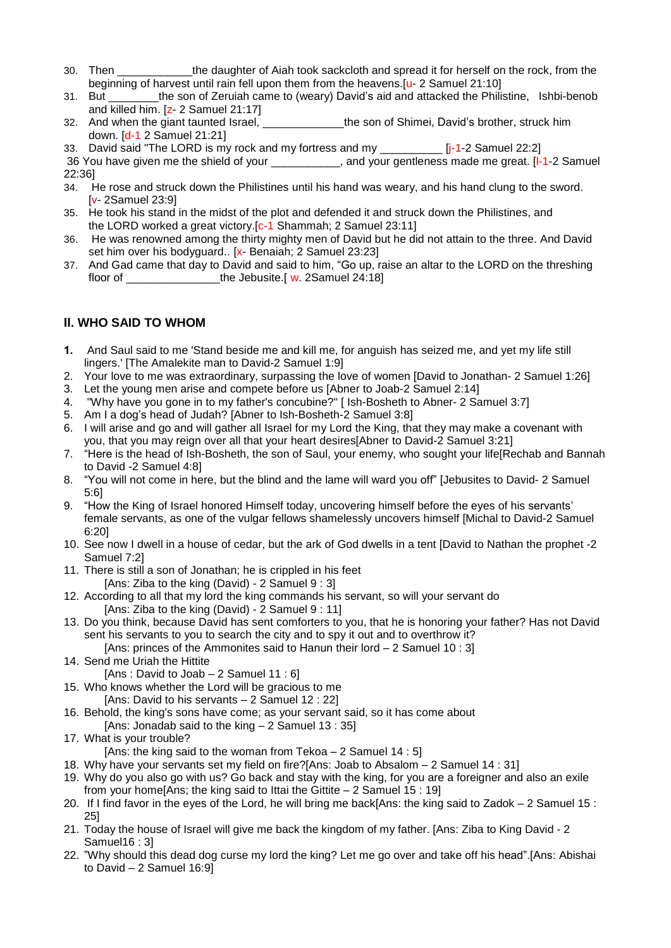- 30. Then the daughter of Aiah took sackcloth and spread it for herself on the rock, from the beginning of harvest until rain fell upon them from the heavens.[u- 2 Samuel 21:10]
- 31. But \_\_\_\_\_\_\_\_the son of Zeruiah came to (weary) David's aid and attacked the Philistine, Ishbi-benob and killed him. [z- 2 Samuel 21:17]
- 32. And when the giant taunted Israel, the son of Shimei, David's brother, struck him down. [d-1 2 Samuel 21:21]
- 33. David said "The LORD is my rock and my fortress and my \_\_\_\_\_\_\_\_\_\_\_\_\_\_\_\_ [j-1-2 Samuel 22:2]
- 36 You have given me the shield of your **the set of your centleness made me great.** [I-1-2 Samuel 22:36]
- 34. He rose and struck down the Philistines until his hand was weary, and his hand clung to the sword. [v- 2Samuel 23:9]
- 35. He took his stand in the midst of the plot and defended it and struck down the Philistines, and the LORD worked a great victory. [c-1 Shammah; 2 Samuel 23:11]
- 36. He was renowned among the thirty mighty men of David but he did not attain to the three. And David set him over his bodyguard.. [x- Benaiah; 2 Samuel 23:23]
- 37. And Gad came that day to David and said to him, "Go up, raise an altar to the LORD on the threshing floor of \_\_\_\_\_\_\_\_\_\_\_\_\_\_\_the Jebusite.[ w. 2Samuel 24:18]

# **II. WHO SAID TO WHOM**

- **1.** And Saul said to me 'Stand beside me and kill me, for anguish has seized me, and yet my life still lingers.' [The Amalekite man to David-2 Samuel 1:9]
- 2. Your love to me was extraordinary, surpassing the love of women [David to Jonathan- 2 Samuel 1:26]
- 3. Let the young men arise and compete before us [Abner to Joab-2 Samuel 2:14]
- 4. "Why have you gone in to my father's concubine?" [ Ish-Bosheth to Abner- 2 Samuel 3:7]
- 5. Am I a dog's head of Judah? [Abner to Ish-Bosheth-2 Samuel 3:8]
- 6. I will arise and go and will gather all Israel for my Lord the King, that they may make a covenant with you, that you may reign over all that your heart desires[Abner to David-2 Samuel 3:21]
- 7. "Here is the head of Ish-Bosheth, the son of Saul, your enemy, who sought your life[Rechab and Bannah to David -2 Samuel 4:8]
- 8. "You will not come in here, but the blind and the lame will ward you off" [Jebusites to David- 2 Samuel 5:6]
- 9. "How the King of Israel honored Himself today, uncovering himself before the eyes of his servants' female servants, as one of the vulgar fellows shamelessly uncovers himself [Michal to David-2 Samuel 6:20]
- 10. See now I dwell in a house of cedar, but the ark of God dwells in a tent [David to Nathan the prophet -2 Samuel 7:2]
- 11. There is still a son of Jonathan; he is crippled in his feet [Ans: Ziba to the king (David) - 2 Samuel 9 : 3]
- 12. According to all that my lord the king commands his servant, so will your servant do [Ans: Ziba to the king (David) - 2 Samuel 9 : 11]
- 13. Do you think, because David has sent comforters to you, that he is honoring your father? Has not David sent his servants to you to search the city and to spy it out and to overthrow it?
	- [Ans: princes of the Ammonites said to Hanun their lord 2 Samuel 10 : 3]
- 14. Send me Uriah the Hittite
- [Ans : David to Joab  $-2$  Samuel 11 : 6] 15. Who knows whether the Lord will be gracious to me
	- [Ans: David to his servants 2 Samuel 12 : 22]
- 16. Behold, the king's sons have come; as your servant said, so it has come about [Ans: Jonadab said to the king  $-2$  Samuel 13 : 35]
- 17. What is your trouble?
	- [Ans: the king said to the woman from Tekoa 2 Samuel 14 : 5]
- 18. Why have your servants set my field on fire?[Ans: Joab to Absalom 2 Samuel 14 : 31]
- 19. Why do you also go with us? Go back and stay with the king, for you are a foreigner and also an exile from your home[Ans; the king said to Ittai the Gittite – 2 Samuel 15 : 19]
- 20. If I find favor in the eyes of the Lord, he will bring me back[Ans: the king said to Zadok 2 Samuel 15 : 25]
- 21. Today the house of Israel will give me back the kingdom of my father. [Ans: Ziba to King David 2 Samuel16 : 3]
- 22. "Why should this dead dog curse my lord the king? Let me go over and take off his head".[Ans: Abishai to David – 2 Samuel 16:9]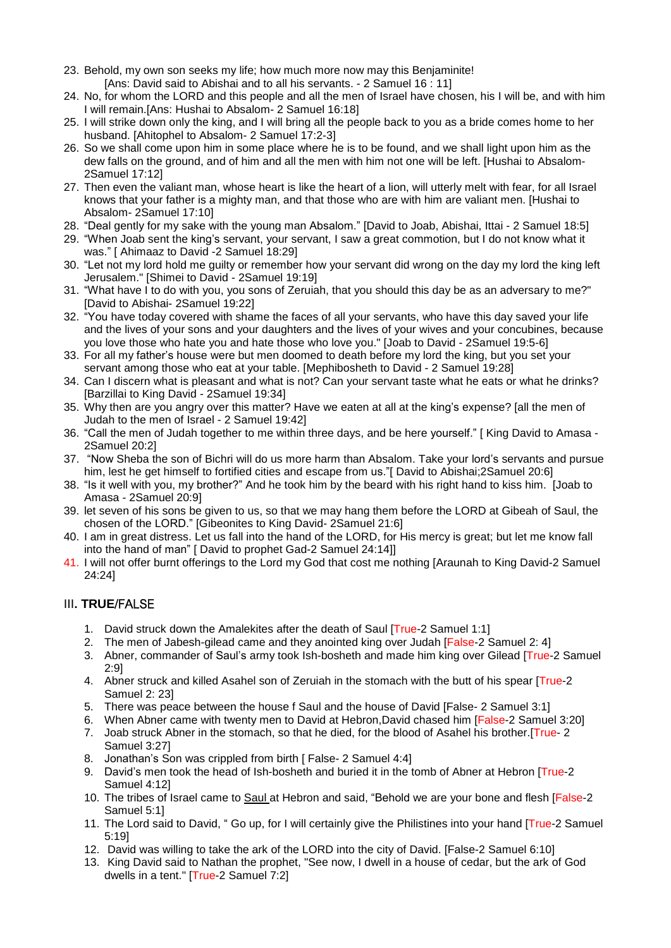- 23. Behold, my own son seeks my life; how much more now may this Benjaminite! [Ans: David said to Abishai and to all his servants. - 2 Samuel 16 : 11]
- 24. No, for whom the LORD and this people and all the men of Israel have chosen, his I will be, and with him I will remain.[Ans: Hushai to Absalom- 2 Samuel 16:18]
- 25. I will strike down only the king, and I will bring all the people back to you as a bride comes home to her husband. [Ahitophel to Absalom- 2 Samuel 17:2-3]
- 26. So we shall come upon him in some place where he is to be found, and we shall light upon him as the dew falls on the ground, and of him and all the men with him not one will be left. [Hushai to Absalom-2Samuel 17:12]
- 27. Then even the valiant man, whose heart is like the heart of a lion, will utterly melt with fear, for all Israel knows that your father is a mighty man, and that those who are with him are valiant men. [Hushai to Absalom- 2Samuel 17:10]
- 28. "Deal gently for my sake with the young man Absalom." [David to Joab, Abishai, Ittai 2 Samuel 18:5]
- 29. "When Joab sent the king's servant, your servant, I saw a great commotion, but I do not know what it was." [ Ahimaaz to David -2 Samuel 18:29]
- 30. "Let not my lord hold me guilty or remember how your servant did wrong on the day my lord the king left Jerusalem." [Shimei to David - 2Samuel 19:19]
- 31. "What have I to do with you, you sons of Zeruiah, that you should this day be as an adversary to me?" [David to Abishai- 2Samuel 19:22]
- 32. "You have today covered with shame the faces of all your servants, who have this day saved your life and the lives of your sons and your daughters and the lives of your wives and your concubines, because you love those who hate you and hate those who love you." [Joab to David - 2Samuel 19:5-6]
- 33. For all my father's house were but men doomed to death before my lord the king, but you set your servant among those who eat at your table. [Mephibosheth to David - 2 Samuel 19:28]
- 34. Can I discern what is pleasant and what is not? Can your servant taste what he eats or what he drinks? [Barzillai to King David - 2Samuel 19:34]
- 35. Why then are you angry over this matter? Have we eaten at all at the king's expense? [all the men of Judah to the men of Israel - 2 Samuel 19:42]
- 36. "Call the men of Judah together to me within three days, and be here yourself." [ King David to Amasa 2Samuel 20:2]
- 37. "Now Sheba the son of Bichri will do us more harm than Absalom. Take your lord's servants and pursue him, lest he get himself to fortified cities and escape from us."[ David to Abishai;2Samuel 20:6]
- 38. "Is it well with you, my brother?" And he took him by the beard with his right hand to kiss him. [Joab to Amasa - 2Samuel 20:9]
- 39. let seven of his sons be given to us, so that we may hang them before the LORD at Gibeah of Saul, the chosen of the LORD." [Gibeonites to King David- 2Samuel 21:6]
- 40. I am in great distress. Let us fall into the hand of the LORD, for His mercy is great; but let me know fall into the hand of man" [ David to prophet Gad-2 Samuel 24:14]]
- 41. I will not offer burnt offerings to the Lord my God that cost me nothing [Araunah to King David-2 Samuel 24:24]

# III**. TRUE**/FALSE

- 1. David struck down the Amalekites after the death of Saul [True-2 Samuel 1:1]
- 2. The men of Jabesh-gilead came and they anointed king over Judah [False-2 Samuel 2: 4]
- 3. Abner, commander of Saul's army took Ish-bosheth and made him king over Gilead [True-2 Samuel] 2:9]
- 4. Abner struck and killed Asahel son of Zeruiah in the stomach with the butt of his spear [True-2] Samuel 2: 23]
- 5. There was peace between the house f Saul and the house of David [False- 2 Samuel 3:1]
- 6. When Abner came with twenty men to David at Hebron,David chased him [False-2 Samuel 3:20]
- 7. Joab struck Abner in the stomach, so that he died, for the blood of Asahel his brother.[True- 2 Samuel 3:27]
- 8. Jonathan's Son was crippled from birth [ False- 2 Samuel 4:4]
- 9. David's men took the head of Ish-bosheth and buried it in the tomb of Abner at Hebron [True-2] Samuel 4:12]
- 10. The tribes of Israel came to Saul at Hebron and said, "Behold we are your bone and flesh [False-2 Samuel 5:1]
- 11. The Lord said to David, " Go up, for I will certainly give the Philistines into your hand [True-2 Samuel 5:19]
- 12. David was willing to take the ark of the LORD into the city of David. [False-2 Samuel 6:10]
- 13. King David said to Nathan the prophet, "See now, I dwell in a house of cedar, but the ark of God dwells in a tent." [True-2 Samuel 7:2]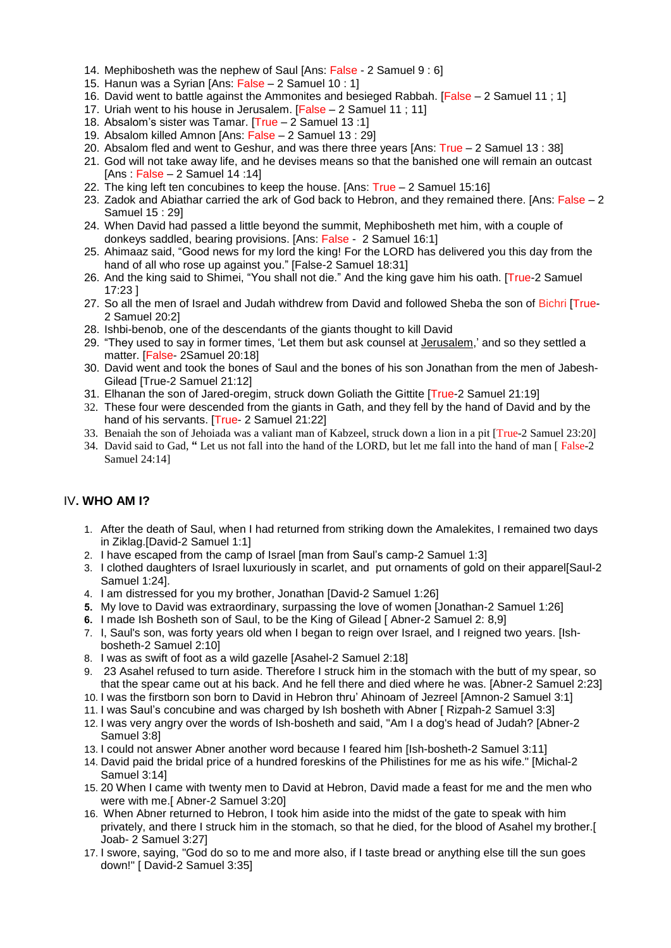- 14. Mephibosheth was the nephew of Saul [Ans: False 2 Samuel 9 : 6]
- 15. Hanun was a Syrian [Ans: False 2 Samuel 10 : 1]
- 16. David went to battle against the Ammonites and besieged Rabbah. [False 2 Samuel 11 ; 1]
- 17. Uriah went to his house in Jerusalem. [False 2 Samuel 11 ; 11]
- 18. Absalom's sister was Tamar. [True 2 Samuel 13 :1]
- 19. Absalom killed Amnon [Ans: False 2 Samuel 13 : 29]
- 20. Absalom fled and went to Geshur, and was there three years [Ans: True 2 Samuel 13 : 38]
- 21. God will not take away life, and he devises means so that the banished one will remain an outcast [Ans : False – 2 Samuel 14 :14]
- 22. The king left ten concubines to keep the house. [Ans: True 2 Samuel 15:16]
- 23. Zadok and Abiathar carried the ark of God back to Hebron, and they remained there. [Ans: False 2 Samuel 15 : 29]
- 24. When David had passed a little beyond the summit, Mephibosheth met him, with a couple of donkeys saddled, bearing provisions. [Ans: False - 2 Samuel 16:1]
- 25. Ahimaaz said, "Good news for my lord the king! For the LORD has delivered you this day from the hand of all who rose up against you." [False-2 Samuel 18:31]
- 26. And the king said to Shimei, "You shall not die." And the king gave him his oath. [True-2 Samuel 17:23 ]
- 27. So all the men of Israel and Judah withdrew from David and followed Sheba the son of Bichri [True-2 Samuel 20:2]
- 28. Ishbi-benob, one of the descendants of the giants thought to kill David
- 29. "They used to say in former times, 'Let them but ask counsel at Jerusalem,' and so they settled a matter. [False- 2Samuel 20:18]
- 30. David went and took the bones of Saul and the bones of his son Jonathan from the men of Jabesh-Gilead [True-2 Samuel 21:12]
- 31. Elhanan the son of Jared-oregim, struck down Goliath the Gittite [True-2 Samuel 21:19]
- 32. These four were descended from the giants in Gath, and they fell by the hand of David and by the hand of his servants. **True- 2 Samuel 21:221**
- 33. Benaiah the son of Jehoiada was a valiant man of Kabzeel, struck down a lion in a pit [True-2 Samuel 23:20]
- 34. David said to Gad, **"** Let us not fall into the hand of the LORD, but let me fall into the hand of man [ False-2 Samuel 24:14]

#### IV**. WHO AM I?**

- 1. After the death of Saul, when I had returned from striking down the Amalekites, I remained two days in Ziklag.[David-2 Samuel 1:1]
- 2. I have escaped from the camp of Israel [man from Saul's camp-2 Samuel 1:3]
- 3. I clothed daughters of Israel luxuriously in scarlet, and put ornaments of gold on their apparel[Saul-2 Samuel 1:24].
- 4. I am distressed for you my brother, Jonathan [David-2 Samuel 1:26]
- **5.** My love to David was extraordinary, surpassing the love of women [Jonathan-2 Samuel 1:26]
- **6.** I made Ish Bosheth son of Saul, to be the King of Gilead [ Abner-2 Samuel 2: 8,9]
- 7. I, Saul's son, was forty years old when I began to reign over Israel, and I reigned two years. [Ishbosheth-2 Samuel 2:10]
- 8. I was as swift of foot as a wild gazelle [Asahel-2 Samuel 2:18]
- 9. 23 Asahel refused to turn aside. Therefore I struck him in the stomach with the butt of my spear, so that the spear came out at his back. And he fell there and died where he was. [Abner-2 Samuel 2:23]
- 10. I was the firstborn son born to David in Hebron thru' Ahinoam of Jezreel [Amnon-2 Samuel 3:1]
- 11. I was Saul's concubine and was charged by Ish bosheth with Abner [ Rizpah-2 Samuel 3:3]
- 12. I was very angry over the words of Ish-bosheth and said, "Am I a dog's head of Judah? [Abner-2 Samuel 3:8]
- 13. I could not answer Abner another word because I feared him [Ish-bosheth-2 Samuel 3:11]
- 14. David paid the bridal price of a hundred foreskins of the Philistines for me as his wife." [Michal-2 Samuel 3:14]
- 15. 20 When I came with twenty men to David at Hebron, David made a feast for me and the men who were with me.[ Abner-2 Samuel 3:20]
- 16. When Abner returned to Hebron, I took him aside into the midst of the gate to speak with him privately, and there I struck him in the stomach, so that he died, for the blood of Asahel my brother.[ Joab- 2 Samuel 3:27]
- 17. I swore, saying, "God do so to me and more also, if I taste bread or anything else till the sun goes down!" [ David-2 Samuel 3:35]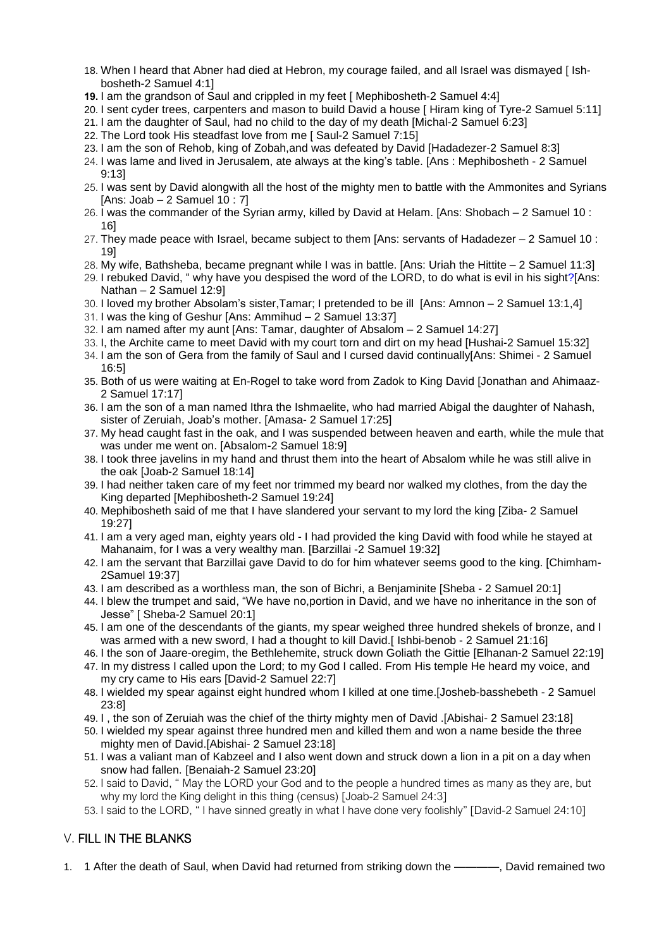- 18. When I heard that Abner had died at Hebron, my courage failed, and all Israel was dismayed [ Ishbosheth-2 Samuel 4:1]
- **19.** I am the grandson of Saul and crippled in my feet [ Mephibosheth-2 Samuel 4:4]
- 20. I sent cyder trees, carpenters and mason to build David a house [ Hiram king of Tyre-2 Samuel 5:11]
- 21. I am the daughter of Saul, had no child to the day of my death [Michal-2 Samuel 6:23]
- 22. The Lord took His steadfast love from me [ Saul-2 Samuel 7:15]
- 23. I am the son of Rehob, king of Zobah,and was defeated by David [Hadadezer-2 Samuel 8:3]
- 24. I was lame and lived in Jerusalem, ate always at the king's table. [Ans : Mephibosheth 2 Samuel 9:13]
- 25. I was sent by David alongwith all the host of the mighty men to battle with the Ammonites and Syrians [Ans: Joab  $-2$  Samuel 10 : 7]
- 26. I was the commander of the Syrian army, killed by David at Helam. [Ans: Shobach 2 Samuel 10 : 16]
- 27. They made peace with Israel, became subject to them [Ans: servants of Hadadezer 2 Samuel 10 : 19]
- 28. My wife, Bathsheba, became pregnant while I was in battle. [Ans: Uriah the Hittite 2 Samuel 11:3]
- 29. I rebuked David, " why have you despised the word of the LORD, to do what is evil in his sight?[Ans: Nathan – 2 Samuel 12:9]
- 30. I loved my brother Absolam's sister,Tamar; I pretended to be ill [Ans: Amnon 2 Samuel 13:1,4]
- 31. I was the king of Geshur [Ans: Ammihud 2 Samuel 13:37]
- 32. I am named after my aunt [Ans: Tamar, daughter of Absalom 2 Samuel 14:27]
- 33. I, the Archite came to meet David with my court torn and dirt on my head [Hushai-2 Samuel 15:32]
- 34. I am the son of Gera from the family of Saul and I cursed david continually[Ans: Shimei 2 Samuel 16:5]
- 35. Both of us were waiting at En-Rogel to take word from Zadok to King David [Jonathan and Ahimaaz-2 Samuel 17:17]
- 36. I am the son of a man named Ithra the Ishmaelite, who had married Abigal the daughter of Nahash, sister of Zeruiah, Joab's mother. [Amasa- 2 Samuel 17:25]
- 37. My head caught fast in the oak, and I was suspended between heaven and earth, while the mule that was under me went on. [Absalom-2 Samuel 18:9]
- 38. I took three javelins in my hand and thrust them into the heart of Absalom while he was still alive in the oak [Joab-2 Samuel 18:14]
- 39. I had neither taken care of my feet nor trimmed my beard nor walked my clothes, from the day the King departed [Mephibosheth-2 Samuel 19:24]
- 40. Mephibosheth said of me that I have slandered your servant to my lord the king [Ziba- 2 Samuel 19:27]
- 41. I am a very aged man, eighty years old I had provided the king David with food while he stayed at Mahanaim, for I was a very wealthy man. [Barzillai -2 Samuel 19:32]
- 42. I am the servant that Barzillai gave David to do for him whatever seems good to the king. [Chimham-2Samuel 19:37]
- 43. I am described as a worthless man, the son of Bichri, a Benjaminite [Sheba 2 Samuel 20:1]
- 44. I blew the trumpet and said, "We have no,portion in David, and we have no inheritance in the son of Jesse" [ Sheba-2 Samuel 20:1]
- 45. I am one of the descendants of the giants, my spear weighed three hundred shekels of bronze, and I was armed with a new sword, I had a thought to kill David.[ Ishbi-benob - 2 Samuel 21:16]
- 46. I the son of Jaare-oregim, the Bethlehemite, struck down Goliath the Gittie [Elhanan-2 Samuel 22:19]

47. In my distress I called upon the Lord; to my God I called. From His temple He heard my voice, and my cry came to His ears [David-2 Samuel 22:7]

- 48. I wielded my spear against eight hundred whom I killed at one time.[Josheb-basshebeth 2 Samuel 23:8]
- 49. I , the son of Zeruiah was the chief of the thirty mighty men of David .[Abishai- 2 Samuel 23:18]
- 50. I wielded my spear against three hundred men and killed them and won a name beside the three mighty men of David.[Abishai- 2 Samuel 23:18]
- 51. I was a valiant man of Kabzeel and I also went down and struck down a lion in a pit on a day when snow had fallen. [Benaiah-2 Samuel 23:20]
- 52. I said to David, " May the LORD your God and to the people a hundred times as many as they are, but why my lord the King delight in this thing (census) [Joab-2 Samuel 24:3]
- 53. I said to the LORD, " I have sinned greatly in what I have done very foolishly" [David-2 Samuel 24:10]

# V. FILL IN THE BLANKS

1. 1 After the death of Saul, when David had returned from striking down the ————, David remained two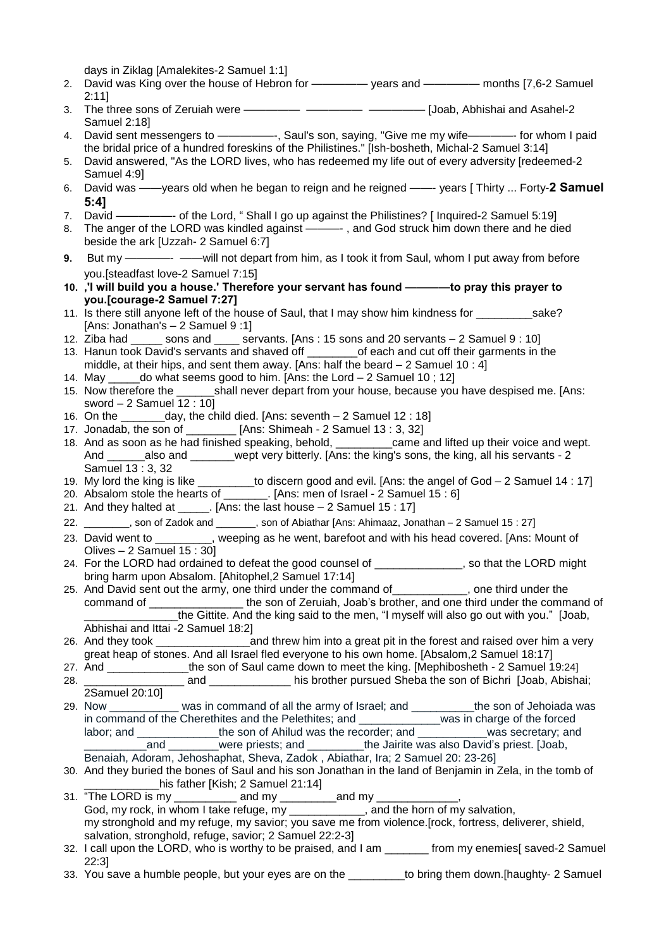days in Ziklag [Amalekites-2 Samuel 1:1]

- 2. David was King over the house of Hebron for ————— years and ————— months [7,6-2 Samuel 2:11]
- 3. The three sons of Zeruiah were ————— ————— ————— [Joab, Abhishai and Asahel-2 Samuel 2:18]
- 4. David sent messengers to —————-, Saul's son, saying, "Give me my wife————- for whom I paid the bridal price of a hundred foreskins of the Philistines." [Ish-bosheth, Michal-2 Samuel 3:14]
- 5. David answered, "As the LORD lives, who has redeemed my life out of every adversity [redeemed-2 Samuel 4:9]
- 6. David was ——years old when he began to reign and he reigned ——- years [ Thirty ... Forty-**2 Samuel 5:4]**
- 7. David ————- of the Lord, "Shall I go up against the Philistines? [Inquired-2 Samuel 5:19]
- 8. The anger of the LORD was kindled against ———-, and God struck him down there and he died beside the ark [Uzzah- 2 Samuel 6:7]
- **9.** But my ————- ——will not depart from him, as I took it from Saul, whom I put away from before you.[steadfast love-2 Samuel 7:15]
- **10. ,'I will build you a house.' Therefore your servant has found ————to pray this prayer to you.[courage-2 Samuel 7:27]**
- 11. Is there still anyone left of the house of Saul, that I may show him kindness for \_\_\_\_\_\_\_\_\_sake? [Ans: Jonathan's – 2 Samuel 9 :1]
- 12. Ziba had \_\_\_\_\_ sons and \_\_\_\_ servants. [Ans : 15 sons and 20 servants 2 Samuel 9 : 10]
- 13. Hanun took David's servants and shaved off \_\_\_\_\_\_\_\_of each and cut off their garments in the middle, at their hips, and sent them away. [Ans: half the beard  $-2$  Samuel 10 : 4]
- 14. May do what seems good to him. [Ans: the Lord  $-$  2 Samuel 10 ; 12] 15. Now therefore the shall never depart from your house, because you have despised me. [Ans: sword – 2 Samuel 12 : 10]
- 16. On the  $\frac{day}{y}$ , the child died. [Ans: seventh  $-2$  Samuel 12 : 18]
- 17. Jonadab, the son of \_\_\_\_\_\_\_\_ [Ans: Shimeah 2 Samuel 13 : 3, 32]
- 18. And as soon as he had finished speaking, behold, \_\_\_\_\_\_\_\_\_came and lifted up their voice and wept. And \_\_\_\_\_\_\_\_\_\_\_\_\_\_\_\_\_\_\_\_\_\_\_\_\_\_\_\_\_\_\_wept very bitterly. [Ans: the king's sons, the king, all his servants - 2 Samuel 13 : 3, 32
- 19. My lord the king is like \_\_\_\_\_\_\_\_\_to discern good and evil. [Ans: the angel of God 2 Samuel 14 : 17]
- 20. Absalom stole the hearts of \_\_\_\_\_\_\_. [Ans: men of Israel 2 Samuel 15 : 6]
- 21. And they halted at \_\_\_\_\_. [Ans: the last house 2 Samuel 15 : 17]
- 22. \_\_\_\_\_\_\_\_, son of Zadok and \_\_\_\_\_\_\_, son of Abiathar [Ans: Ahimaaz, Jonathan 2 Samuel 15 : 27]
- 23. David went to \_\_\_\_\_\_\_\_, weeping as he went, barefoot and with his head covered. [Ans: Mount of Olives – 2 Samuel 15 : 30]
- 24. For the LORD had ordained to defeat the good counsel of \_\_\_\_\_\_\_\_\_\_\_\_\_\_, so that the LORD might bring harm upon Absalom. [Ahitophel,2 Samuel 17:14]
- <sup>25</sup>. And David sent out the army, one third under the command of \_\_\_\_\_\_\_\_\_, one third under the command of the son of Zeruiah, Joab's brother, and one third under the command of the Gittite. And the king said to the men, "I myself will also go out with you." [Joab, Abhishai and Ittai -2 Samuel 18:2]
- 26. And they took \_\_\_\_\_\_\_\_\_\_\_\_\_\_\_and threw him into a great pit in the forest and raised over him a very great heap of stones. And all Israel fled everyone to his own home. [Absalom,2 Samuel 18:17]
- 27. And \_\_\_\_\_\_\_\_\_\_\_\_\_the son of Saul came down to meet the king. [Mephibosheth 2 Samuel 19:24] 28. \_\_\_\_\_\_\_\_\_\_\_\_\_\_\_\_ and \_\_\_\_\_\_\_\_\_\_\_\_\_ his brother pursued Sheba the son of Bichri [Joab, Abishai;
- 2Samuel 20:10] 29. Now \_\_\_\_\_\_\_\_\_\_\_ was in command of all the army of Israel; and \_\_\_\_\_\_\_\_\_\_the son of Jehoiada was in command of the Cherethites and the Pelethites; and \_\_\_\_\_\_\_\_\_\_\_\_\_was in charge of the forced labor; and \_\_\_\_\_\_\_\_\_\_\_\_\_\_\_the son of Ahilud was the recorder; and \_\_\_\_\_\_\_\_\_\_\_was secretary; and
- \_\_\_\_\_\_\_\_\_\_and \_\_\_\_\_\_\_\_were priests; and \_\_\_\_\_\_\_\_\_the Jairite was also David's priest. [Joab, Benaiah, Adoram, Jehoshaphat, Sheva, Zadok , Abiathar, Ira; 2 Samuel 20: 23-26]
- 30. And they buried the bones of Saul and his son Jonathan in the land of Benjamin in Zela, in the tomb of his father [Kish: 2 Samuel 21:14]
- 31. "The LORD is my \_\_\_\_\_\_\_\_\_\_ and my \_\_\_\_\_\_\_\_\_\_and my \_\_\_\_\_\_\_\_\_\_\_\_\_, God, my rock, in whom I take refuge, my \_\_\_\_\_\_\_\_\_\_\_\_, and the horn of my salvation, my stronghold and my refuge, my savior; you save me from violence.[rock, fortress, deliverer, shield, salvation, stronghold, refuge, savior; 2 Samuel 22:2-3]
- 32. I call upon the LORD, who is worthy to be praised, and I am \_\_\_\_\_\_\_ from my enemies[ saved-2 Samuel 22:3]
- 33. You save a humble people, but your eyes are on the the state of bring them down.[haughty- 2 Samuel]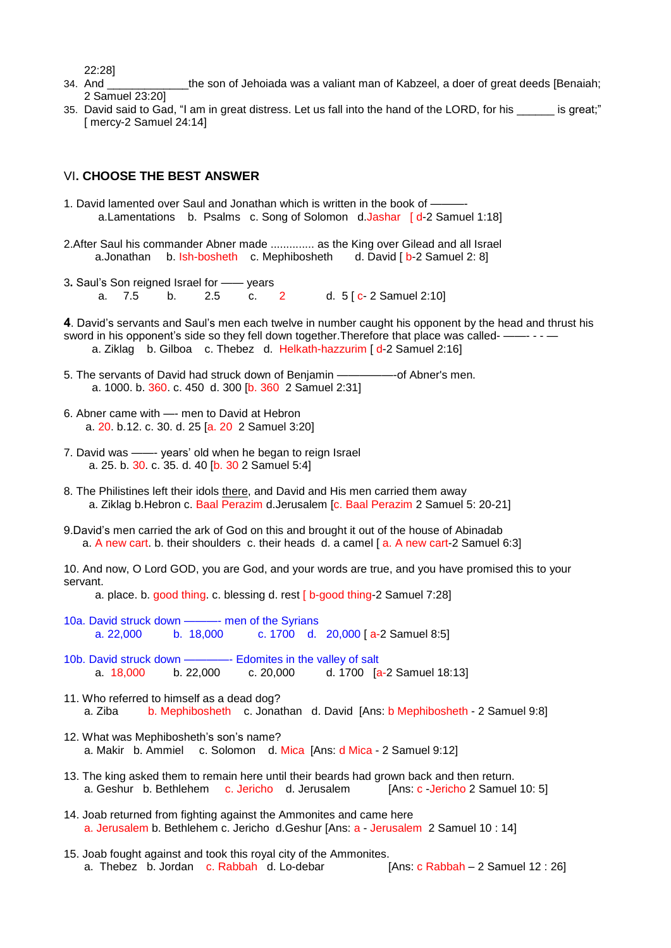22:28]

- 34. And **the son of Jehoiada was a valiant man of Kabzeel**, a doer of great deeds [Benaiah; 2 Samuel 23:20]
- 35. David said to Gad, "I am in great distress. Let us fall into the hand of the LORD, for his \_\_\_\_\_\_ is great;" [ mercy-2 Samuel 24:14]

#### VI**. CHOOSE THE BEST ANSWER**

- 1. David lamented over Saul and Jonathan which is written in the book of a.Lamentations b. Psalms c. Song of Solomon d.Jashar [d-2 Samuel 1:18]
- 2.After Saul his commander Abner made .............. as the King over Gilead and all Israel a.Jonathan b. Ish-bosheth c. Mephibosheth d. David [b-2 Samuel 2: 8]
- 3**.** Saul's Son reigned Israel for —— years a. 7.5 b. 2.5 c. 2 d.  $5 [c- 2 \text{ Samuel } 2:10]$
- **4**. David's servants and Saul's men each twelve in number caught his opponent by the head and thrust his sword in his opponent's side so they fell down together. Therefore that place was called- ——-- - - a. Ziklag b. Gilboa c. Thebez d. Helkath-hazzurim [ d-2 Samuel 2:16]
- 5. The servants of David had struck down of Benjamin —————---- of Abner's men. a. 1000. b. 360. c. 450 d. 300 [b. 360 2 Samuel 2:31]
- 6. Abner came with —- men to David at Hebron a. 20. b.12. c. 30. d. 25 [a. 20 2 Samuel 3:20]
- 7. David was ——- years' old when he began to reign Israel a. 25. b. 30. c. 35. d. 40 [b. 30 2 Samuel 5:4]
- 8. The Philistines left their idols there, and David and His men carried them away a. Ziklag b.Hebron c. Baal Perazim d.Jerusalem [c. Baal Perazim 2 Samuel 5: 20-21]
- 9.David's men carried the ark of God on this and brought it out of the house of Abinadab a. A new cart. b. their shoulders c. their heads d. a camel [ a. A new cart-2 Samuel 6:3]

10. And now, O Lord GOD, you are God, and your words are true, and you have promised this to your servant.

a. place. b. good thing. c. blessing d. rest [ b-good thing-2 Samuel 7:28]

- 10a. David struck down ———- men of the Syrians a. 22,000 b. 18,000 c. 1700 d. 20,000 [ a-2 Samuel 8:5]
- 10b. David struck down ————- Edomites in the valley of salt a. 18,000 b. 22,000 c. 20,000 d. 1700 [a-2 Samuel 18:13]
- 11. Who referred to himself as a dead dog? a. Ziba b. Mephibosheth c. Jonathan d. David [Ans: b Mephibosheth - 2 Samuel 9:8]
- 12. What was Mephibosheth's son's name? a. Makir b. Ammiel c. Solomon d. Mica [Ans: d Mica - 2 Samuel 9:12]
- 13. The king asked them to remain here until their beards had grown back and then return. a. Geshur b. Bethlehem c. Jericho d. Jerusalem [Ans: c -Jericho 2 Samuel 10: 5]
- 14. Joab returned from fighting against the Ammonites and came here a. Jerusalem b. Bethlehem c. Jericho d.Geshur [Ans: a - Jerusalem 2 Samuel 10 : 14]
- 15. Joab fought against and took this royal city of the Ammonites. a. Thebez b. Jordan c. Rabbah d. Lo-debar [Ans: c Rabbah – 2 Samuel 12 : 26]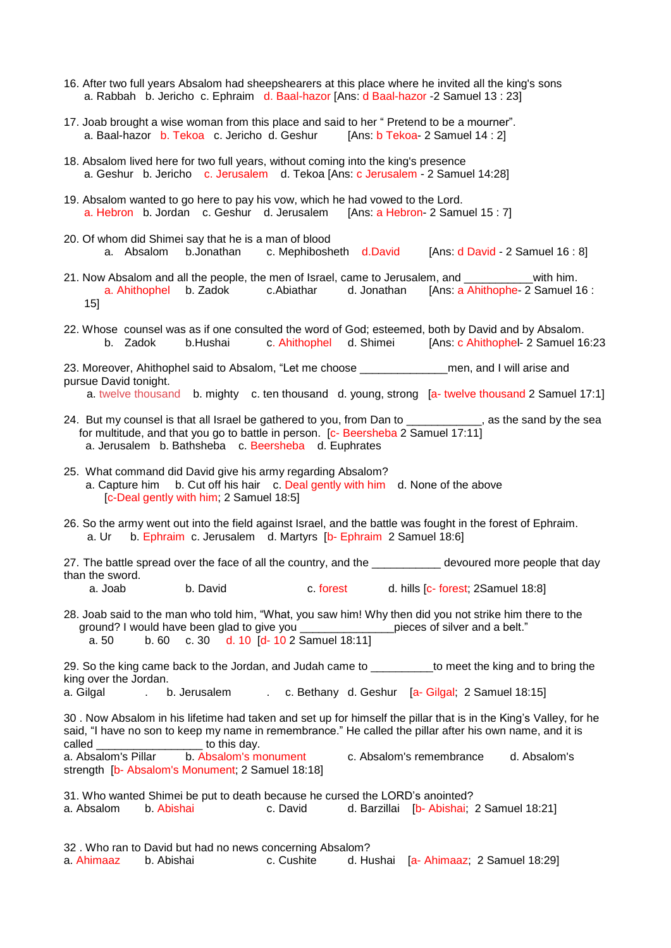- 16. After two full years Absalom had sheepshearers at this place where he invited all the king's sons a. Rabbah b. Jericho c. Ephraim d. Baal-hazor [Ans: d Baal-hazor -2 Samuel 13 : 23]
- 17. Joab brought a wise woman from this place and said to her " Pretend to be a mourner". a. Baal-hazor b. Tekoa c. Jericho d. Geshur [Ans: b Tekoa- 2 Samuel 14 : 2]
- 18. Absalom lived here for two full years, without coming into the king's presence a. Geshur b. Jericho c. Jerusalem d. Tekoa [Ans: c Jerusalem - 2 Samuel 14:28]
- 19. Absalom wanted to go here to pay his vow, which he had vowed to the Lord. a. Hebron b. Jordan c. Geshur d. Jerusalem [Ans: a Hebron- 2 Samuel 15 : 7]
- 20. Of whom did Shimei say that he is a man of blood<br>a. Absalom b.Jonathan c. Mephibosheth d.David a. Absalom b.Jonathan c. Mephibosheth d.David [Ans: d David - 2 Samuel 16 : 8]
- 21. Now Absalom and all the people, the men of Israel, came to Jerusalem, and \_\_\_\_\_\_\_\_\_\_\_with him. a. Ahithophel b. Zadok c.Abiathar d. Jonathan [Ans: a Ahithophe- 2 Samuel 16 : 15]
- 22. Whose counsel was as if one consulted the word of God; esteemed, both by David and by Absalom. b. Zadok b.Hushai c. Ahithophel d. Shimei [Ans: c Ahithophel- 2 Samuel 16:23
- 23. Moreover, Ahithophel said to Absalom, "Let me choose \_\_\_\_\_\_\_\_\_\_\_\_\_\_\_\_\_\_\_\_men, and I will arise and pursue David tonight.

a. twelve thousand b. mighty c. ten thousand d. young, strong [a- twelve thousand 2 Samuel 17:1]

- 24. But my counsel is that all Israel be gathered to you, from Dan to \_\_\_\_\_\_\_\_\_\_, as the sand by the sea for multitude, and that you go to battle in person. [c- Beersheba 2 Samuel 17:11] a. Jerusalem b. Bathsheba c. Beersheba d. Euphrates
- 25. What command did David give his army regarding Absalom? a. Capture him b. Cut off his hair c. Deal gently with him d. None of the above [c-Deal gently with him; 2 Samuel 18:5]
- 26. So the army went out into the field against Israel, and the battle was fought in the forest of Ephraim. a. Ur b. Ephraim c. Jerusalem d. Martyrs [b- Ephraim 2 Samuel 18:6]

27. The battle spread over the face of all the country, and the devoured more people that day than the sword.

- a. Joab b. David c. forest d. hills [c- forest; 2Samuel 18:8]
- 28. Joab said to the man who told him, "What, you saw him! Why then did you not strike him there to the ground? I would have been glad to give you \_\_\_\_\_\_\_\_\_\_\_\_\_\_\_pieces of silver and a belt." a. 50 b. 60 c. 30 d. 10 [d- 10 2 Samuel 18:11]

29. So the king came back to the Jordan, and Judah came to the to meet the king and to bring the king over the Jordan.

a. Gilgal . b. Jerusalem . c. Bethany d. Geshur [a- Gilgal; 2 Samuel 18:15]

30 . Now Absalom in his lifetime had taken and set up for himself the pillar that is in the King's Valley, for he said, "I have no son to keep my name in remembrance." He called the pillar after his own name, and it is called \_\_\_\_\_\_\_\_\_\_\_\_\_\_\_\_\_ to this day. c. Absalom's remembrance d. Absalom's strength [b- Absalom's Monument; 2 Samuel 18:18]

|                     | 31. Who wanted Shimei be put to death because he cursed the LORD's anointed? |  |                                           |
|---------------------|------------------------------------------------------------------------------|--|-------------------------------------------|
| a Absalom b Abishai | c. David                                                                     |  | d. Barzillai [b- Abishai; 2 Samuel 18:21] |

32 . Who ran to David but had no news concerning Absalom? a. Ahimaaz b. Abishai c. Cushite d. Hushai [a- Ahimaaz; 2 Samuel 18:29]